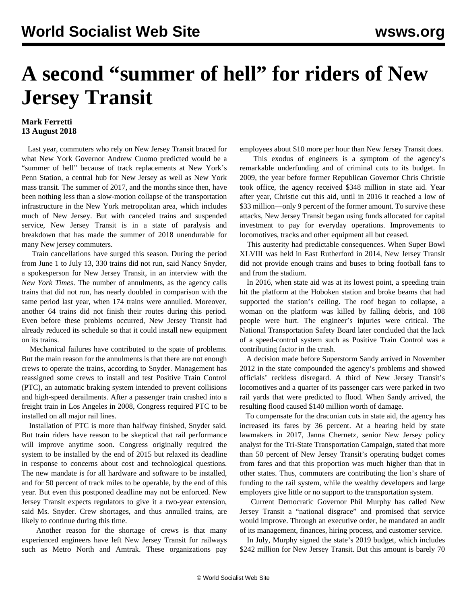## **A second "summer of hell" for riders of New Jersey Transit**

## **Mark Ferretti 13 August 2018**

 Last year, commuters who rely on New Jersey Transit braced for what New York Governor Andrew Cuomo predicted would be a "summer of hell" because of track replacements at New York's Penn Station, a central hub for New Jersey as well as New York mass transit. The summer of 2017, and the months since then, have been nothing less than a slow-motion collapse of the transportation infrastructure in the New York metropolitan area, which includes much of New Jersey. But with canceled trains and suspended service, New Jersey Transit is in a state of paralysis and breakdown that has made the summer of 2018 unendurable for many New jersey commuters.

 Train cancellations have surged this season. During the period from June 1 to July 13, 330 trains did not run, said Nancy Snyder, a spokesperson for New Jersey Transit, in an interview with the *New York Times*. The number of annulments, as the agency calls trains that did not run, has nearly doubled in comparison with the same period last year, when 174 trains were annulled. Moreover, another 64 trains did not finish their routes during this period. Even before these problems occurred, New Jersey Transit had already reduced its schedule so that it could install new equipment on its trains.

 Mechanical failures have contributed to the spate of problems. But the main reason for the annulments is that there are not enough crews to operate the trains, according to Snyder. Management has reassigned some crews to install and test Positive Train Control (PTC), an automatic braking system intended to prevent collisions and high-speed derailments. After a passenger train crashed into a freight train in Los Angeles in 2008, Congress required PTC to be installed on all major rail lines.

 Installation of PTC is more than halfway finished, Snyder said. But train riders have reason to be skeptical that rail performance will improve anytime soon. Congress originally required the system to be installed by the end of 2015 but relaxed its deadline in response to concerns about cost and technological questions. The new mandate is for all hardware and software to be installed, and for 50 percent of track miles to be operable, by the end of this year. But even this postponed deadline may not be enforced. New Jersey Transit expects regulators to give it a two-year extension, said Ms. Snyder. Crew shortages, and thus annulled trains, are likely to continue during this time.

 Another reason for the shortage of crews is that many experienced engineers have left New Jersey Transit for railways such as Metro North and Amtrak. These organizations pay employees about \$10 more per hour than New Jersey Transit does.

 This exodus of engineers is a symptom of the agency's remarkable underfunding and of criminal cuts to its budget. In 2009, the year before former Republican Governor Chris Christie took office, the agency received \$348 million in state aid. Year after year, Christie cut this aid, until in 2016 it reached a low of \$33 million—only 9 percent of the former amount. To survive these attacks, New Jersey Transit began using funds allocated for capital investment to pay for everyday operations. Improvements to locomotives, tracks and other equipment all but ceased.

 This austerity had predictable consequences. When Super Bowl XLVIII was held in East Rutherford in 2014, New Jersey Transit did not provide enough trains and buses to bring football fans to and from the stadium.

 In 2016, when state aid was at its lowest point, a speeding train hit the platform at the Hoboken station and broke beams that had supported the station's ceiling. The roof began to collapse, a woman on the platform was killed by falling debris, and 108 people were hurt. The engineer's injuries were critical. The National Transportation Safety Board later concluded that the lack of a speed-control system such as Positive Train Control was a contributing factor in the crash.

 A decision made before Superstorm Sandy arrived in November 2012 in the state compounded the agency's problems and showed officials' reckless disregard. A third of New Jersey Transit's locomotives and a quarter of its passenger cars were parked in two rail yards that were predicted to flood. When Sandy arrived, the resulting flood caused \$140 million worth of damage.

 To compensate for the draconian cuts in state aid, the agency has increased its fares by 36 percent. At a hearing held by state lawmakers in 2017, Janna Chernetz, senior New Jersey policy analyst for the Tri-State Transportation Campaign, stated that more than 50 percent of New Jersey Transit's operating budget comes from fares and that this proportion was much higher than that in other states. Thus, commuters are contributing the lion's share of funding to the rail system, while the wealthy developers and large employers give little or no support to the transportation system.

 Current Democratic Governor Phil Murphy has called New Jersey Transit a "national disgrace" and promised that service would improve. Through an executive order, he mandated an audit of its management, finances, hiring process, and customer service.

 In July, Murphy signed the state's 2019 budget, which includes \$242 million for New Jersey Transit. But this amount is barely 70